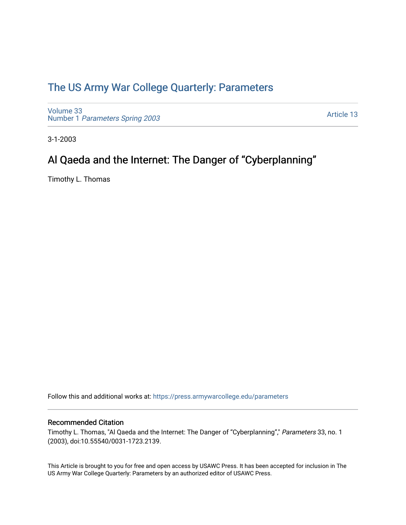## [The US Army War College Quarterly: Parameters](https://press.armywarcollege.edu/parameters)

[Volume 33](https://press.armywarcollege.edu/parameters/vol33) Number 1 [Parameters Spring 2003](https://press.armywarcollege.edu/parameters/vol33/iss1) 

[Article 13](https://press.armywarcollege.edu/parameters/vol33/iss1/13) 

3-1-2003

## Al Qaeda and the Internet: The Danger of "Cyberplanning"

Timothy L. Thomas

Follow this and additional works at: [https://press.armywarcollege.edu/parameters](https://press.armywarcollege.edu/parameters?utm_source=press.armywarcollege.edu%2Fparameters%2Fvol33%2Fiss1%2F13&utm_medium=PDF&utm_campaign=PDFCoverPages) 

### Recommended Citation

Timothy L. Thomas, "Al Qaeda and the Internet: The Danger of "Cyberplanning"," Parameters 33, no. 1 (2003), doi:10.55540/0031-1723.2139.

This Article is brought to you for free and open access by USAWC Press. It has been accepted for inclusion in The US Army War College Quarterly: Parameters by an authorized editor of USAWC Press.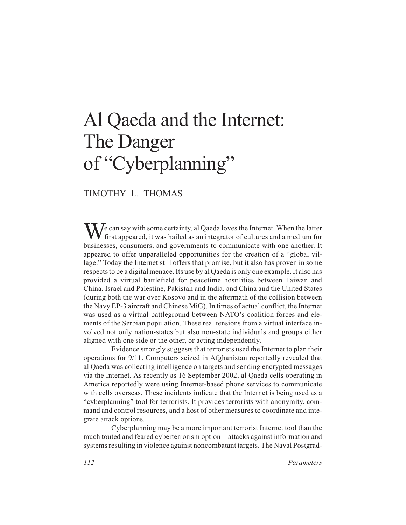# Al Qaeda and the Internet: The Danger of "Cyberplanning"

### TIMOTHY L. THOMAS

We can say with some certainty, al Qaeda loves the Internet. When the latter first appeared, it was hailed as an integrator of cultures and a medium for businesses, consumers, and governments to communicate with one another. It appeared to offer unparalleled opportunities for the creation of a "global village." Today the Internet still offers that promise, but it also has proven in some respects to be a digital menace. Its use by al Qaeda is only one example. It also has provided a virtual battlefield for peacetime hostilities between Taiwan and China, Israel and Palestine, Pakistan and India, and China and the United States (during both the war over Kosovo and in the aftermath of the collision between the Navy EP-3 aircraft and Chinese MiG). In times of actual conflict, the Internet was used as a virtual battleground between NATO's coalition forces and elements of the Serbian population. These real tensions from a virtual interface involved not only nation-states but also non-state individuals and groups either aligned with one side or the other, or acting independently.

Evidence strongly suggests that terrorists used the Internet to plan their operations for 9/11. Computers seized in Afghanistan reportedly revealed that al Qaeda was collecting intelligence on targets and sending encrypted messages via the Internet. As recently as 16 September 2002, al Qaeda cells operating in America reportedly were using Internet-based phone services to communicate with cells overseas. These incidents indicate that the Internet is being used as a "cyberplanning" tool for terrorists. It provides terrorists with anonymity, command and control resources, and a host of other measures to coordinate and integrate attack options.

Cyberplanning may be a more important terrorist Internet tool than the much touted and feared cyberterrorism option—attacks against information and systems resulting in violence against noncombatant targets. The Naval Postgrad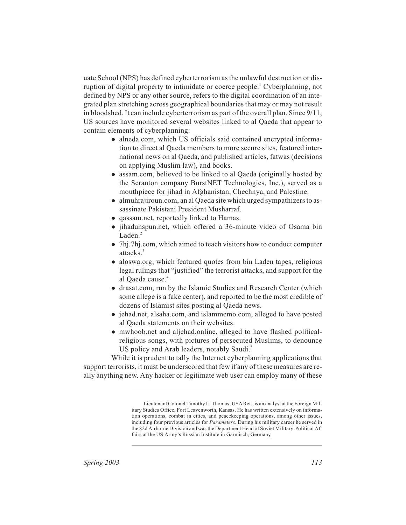uate School (NPS) has defined cyberterrorism as the unlawful destruction or disruption of digital property to intimidate or coerce people.<sup>1</sup> Cyberplanning, not defined by NPS or any other source, refers to the digital coordination of an integrated plan stretching across geographical boundaries that may or may not result in bloodshed. It can include cyberterrorism as part of the overall plan. Since 9/11, US sources have monitored several websites linked to al Qaeda that appear to contain elements of cyberplanning:

- alneda.com, which US officials said contained encrypted information to direct al Qaeda members to more secure sites, featured international news on al Qaeda, and published articles, fatwas (decisions on applying Muslim law), and books.
- assam.com, believed to be linked to al Qaeda (originally hosted by the Scranton company BurstNET Technologies, Inc.), served as a mouthpiece for jihad in Afghanistan, Chechnya, and Palestine.
- almuhrajiroun.com, an al Qaeda site which urged sympathizers to assassinate Pakistani President Musharraf.
- qassam.net, reportedly linked to Hamas.
- jihadunspun.net, which offered a 36-minute video of Osama bin Laden. $<sup>2</sup>$ </sup>
- 7hj.7hj.com, which aimed to teach visitors how to conduct computer attacks.3
- aloswa.org, which featured quotes from bin Laden tapes, religious legal rulings that "justified" the terrorist attacks, and support for the al Oaeda cause.<sup>4</sup>
- drasat.com, run by the Islamic Studies and Research Center (which some allege is a fake center), and reported to be the most credible of dozens of Islamist sites posting al Qaeda news.
- jehad.net, alsaha.com, and islammemo.com, alleged to have posted al Qaeda statements on their websites.
- mwhoob.net and aljehad.online, alleged to have flashed politicalreligious songs, with pictures of persecuted Muslims, to denounce US policy and Arab leaders, notably Saudi.<sup>5</sup>

While it is prudent to tally the Internet cyberplanning applications that support terrorists, it must be underscored that few if any of these measures are really anything new. Any hacker or legitimate web user can employ many of these

Lieutenant Colonel Timothy L. Thomas, USA Ret., is an analyst at the Foreign Military Studies Office, Fort Leavenworth, Kansas. He has written extensively on information operations, combat in cities, and peacekeeping operations, among other issues, including four previous articles for *Parameters*. During his military career he served in the 82d Airborne Division and was the Department Head of Soviet Military-Political Affairs at the US Army's Russian Institute in Garmisch, Germany.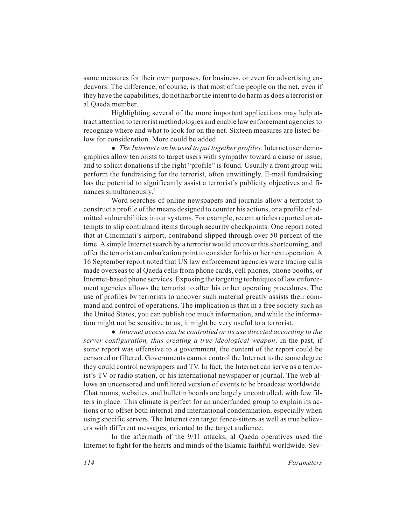same measures for their own purposes, for business, or even for advertising endeavors. The difference, of course, is that most of the people on the net, even if they have the capabilities, do not harbor the intent to do harm as does a terrorist or al Qaeda member.

Highlighting several of the more important applications may help attract attention to terrorist methodologies and enable law enforcement agencies to recognize where and what to look for on the net. Sixteen measures are listed below for consideration. More could be added.

 *The Internet can be used to put together profiles*. Internet user demographics allow terrorists to target users with sympathy toward a cause or issue, and to solicit donations if the right "profile" is found. Usually a front group will perform the fundraising for the terrorist, often unwittingly. E-mail fundraising has the potential to significantly assist a terrorist's publicity objectives and finances simultaneously.6

Word searches of online newspapers and journals allow a terrorist to construct a profile of the means designed to counter his actions, or a profile of admitted vulnerabilities in our systems. For example, recent articles reported on attempts to slip contraband items through security checkpoints. One report noted that at Cincinnati's airport, contraband slipped through over 50 percent of the time. Asimple Internet search by a terrorist would uncover this shortcoming, and offer the terrorist an embarkation point to consider for his or her next operation. A 16 September report noted that US law enforcement agencies were tracing calls made overseas to al Qaeda cells from phone cards, cell phones, phone booths, or Internet-based phone services. Exposing the targeting techniques of law enforcement agencies allows the terrorist to alter his or her operating procedures. The use of profiles by terrorists to uncover such material greatly assists their command and control of operations. The implication is that in a free society such as the United States, you can publish too much information, and while the information might not be sensitive to us, it might be very useful to a terrorist.

 *Internet access can be controlled or its use directed according to the server configuration, thus creating a true ideological weapon*. In the past, if some report was offensive to a government, the content of the report could be censored or filtered. Governments cannot control the Internet to the same degree they could control newspapers and TV. In fact, the Internet can serve as a terrorist's TV or radio station, or his international newspaper or journal. The web allows an uncensored and unfiltered version of events to be broadcast worldwide. Chat rooms, websites, and bulletin boards are largely uncontrolled, with few filters in place. This climate is perfect for an underfunded group to explain its actions or to offset both internal and international condemnation, especially when using specific servers. The Internet can target fence-sitters as well as true believers with different messages, oriented to the target audience.

In the aftermath of the 9/11 attacks, al Qaeda operatives used the Internet to fight for the hearts and minds of the Islamic faithful worldwide. Sev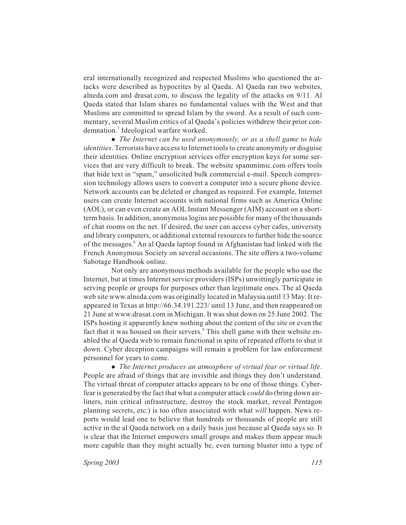eral internationally recognized and respected Muslims who questioned the attacks were described as hypocrites by al Qaeda. Al Qaeda ran two websites, alneda.com and drasat.com, to discuss the legality of the attacks on 9/11. Al Qaeda stated that Islam shares no fundamental values with the West and that Muslims are committed to spread Islam by the sword. As a result of such commentary, several Muslim critics of al Qaeda's policies withdrew their prior condemnation.<sup>7</sup> Ideological warfare worked.

 *The Internet can be used anonymously, or as a shell game to hide identities*. Terrorists have access to Internet tools to create anonymity or disguise their identities. Online encryption services offer encryption keys for some services that are very difficult to break. The website spammimic.com offers tools that hide text in "spam," unsolicited bulk commercial e-mail. Speech compression technology allows users to convert a computer into a secure phone device. Network accounts can be deleted or changed as required. For example, Internet users can create Internet accounts with national firms such as America Online (AOL), or can even create an AOL Instant Messenger (AIM) account on a shortterm basis. In addition, anonymous logins are possible for many of the thousands of chat rooms on the net. If desired, the user can access cyber cafes, university and library computers, or additional external resources to further hide the source of the messages.8 An al Qaeda laptop found in Afghanistan had linked with the French Anonymous Society on several occasions. The site offers a two-volume Sabotage Handbook online.

Not only are anonymous methods available for the people who use the Internet, but at times Internet service providers (ISPs) unwittingly participate in serving people or groups for purposes other than legitimate ones. The al Qaeda web site www.alneda.com was originally located in Malaysia until 13 May. It reappeared in Texas at http://66.34.191.223/ until 13 June, and then reappeared on 21 June at www.drasat.com in Michigan. It was shut down on 25 June 2002. The ISPs hosting it apparently knew nothing about the content of the site or even the fact that it was housed on their servers.<sup>9</sup> This shell game with their website enabled the al Qaeda web to remain functional in spite of repeated efforts to shut it down. Cyber deception campaigns will remain a problem for law enforcement personnel for years to come.

 *The Internet produces an atmosphere of virtual fear or virtual life*. People are afraid of things that are invisible and things they don't understand. The virtual threat of computer attacks appears to be one of those things. Cyberfear is generated by the fact that what a computer attack *could* do (bring down airliners, ruin critical infrastructure, destroy the stock market, reveal Pentagon planning secrets, etc.) is too often associated with what *will* happen. News reports would lead one to believe that hundreds or thousands of people are still active in the al Qaeda network on a daily basis just because al Qaeda says so. It is clear that the Internet empowers small groups and makes them appear much more capable than they might actually be, even turning bluster into a type of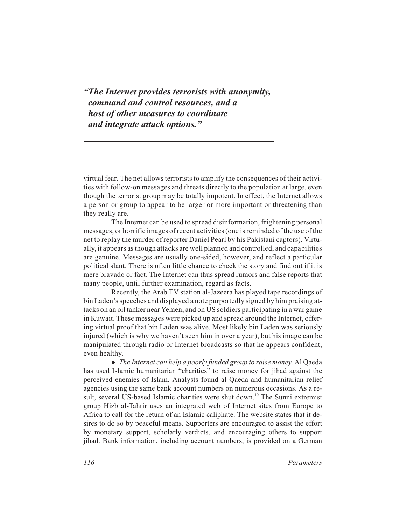*"The Internet provides terrorists with anonymity, command and control resources, and a host of other measures to coordinate and integrate attack options."*

virtual fear. The net allows terrorists to amplify the consequences of their activities with follow-on messages and threats directly to the population at large, even though the terrorist group may be totally impotent. In effect, the Internet allows a person or group to appear to be larger or more important or threatening than they really are.

The Internet can be used to spread disinformation, frightening personal messages, or horrific images of recent activities (one is reminded of the use of the net to replay the murder of reporter Daniel Pearl by his Pakistani captors). Virtually, it appears as though attacks are well planned and controlled, and capabilities are genuine. Messages are usually one-sided, however, and reflect a particular political slant. There is often little chance to check the story and find out if it is mere bravado or fact. The Internet can thus spread rumors and false reports that many people, until further examination, regard as facts.

Recently, the Arab TV station al-Jazeera has played tape recordings of bin Laden's speeches and displayed a note purportedly signed by him praising attacks on an oil tanker near Yemen, and on US soldiers participating in a war game in Kuwait. These messages were picked up and spread around the Internet, offering virtual proof that bin Laden was alive. Most likely bin Laden was seriously injured (which is why we haven't seen him in over a year), but his image can be manipulated through radio or Internet broadcasts so that he appears confident, even healthy.

 *The Internet can help a poorly funded group to raise money*. Al Qaeda has used Islamic humanitarian "charities" to raise money for jihad against the perceived enemies of Islam. Analysts found al Qaeda and humanitarian relief agencies using the same bank account numbers on numerous occasions. As a result, several US-based Islamic charities were shut down.<sup>10</sup> The Sunni extremist group Hizb al-Tahrir uses an integrated web of Internet sites from Europe to Africa to call for the return of an Islamic caliphate. The website states that it desires to do so by peaceful means. Supporters are encouraged to assist the effort by monetary support, scholarly verdicts, and encouraging others to support jihad. Bank information, including account numbers, is provided on a German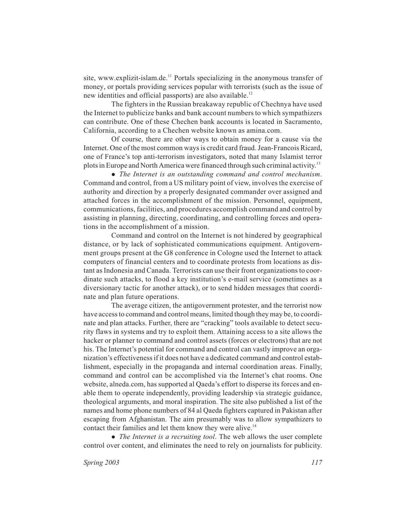site, www.explizit-islam.de.<sup>11</sup> Portals specializing in the anonymous transfer of money, or portals providing services popular with terrorists (such as the issue of new identities and official passports) are also available.<sup>12</sup>

The fighters in the Russian breakaway republic of Chechnya have used the Internet to publicize banks and bank account numbers to which sympathizers can contribute. One of these Chechen bank accounts is located in Sacramento, California, according to a Chechen website known as amina.com.

Of course, there are other ways to obtain money for a cause via the Internet. One of the most common ways is credit card fraud. Jean-Francois Ricard, one of France's top anti-terrorism investigators, noted that many Islamist terror plots in Europe and North America were financed through such criminal activity.<sup>13</sup>

 *The Internet is an outstanding command and control mechanism*. Command and control, from a US military point of view, involves the exercise of authority and direction by a properly designated commander over assigned and attached forces in the accomplishment of the mission. Personnel, equipment, communications, facilities, and procedures accomplish command and control by assisting in planning, directing, coordinating, and controlling forces and operations in the accomplishment of a mission.

Command and control on the Internet is not hindered by geographical distance, or by lack of sophisticated communications equipment. Antigovernment groups present at the G8 conference in Cologne used the Internet to attack computers of financial centers and to coordinate protests from locations as distant as Indonesia and Canada. Terrorists can use their front organizations to coordinate such attacks, to flood a key institution's e-mail service (sometimes as a diversionary tactic for another attack), or to send hidden messages that coordinate and plan future operations.

The average citizen, the antigovernment protester, and the terrorist now have access to command and control means, limited though they may be, to coordinate and plan attacks. Further, there are "cracking" tools available to detect security flaws in systems and try to exploit them. Attaining access to a site allows the hacker or planner to command and control assets (forces or electrons) that are not his. The Internet's potential for command and control can vastly improve an organization's effectiveness if it does not have a dedicated command and control establishment, especially in the propaganda and internal coordination areas. Finally, command and control can be accomplished via the Internet's chat rooms. One website, alneda.com, has supported al Qaeda's effort to disperse its forces and enable them to operate independently, providing leadership via strategic guidance, theological arguments, and moral inspiration. The site also published a list of the names and home phone numbers of 84 al Qaeda fighters captured in Pakistan after escaping from Afghanistan. The aim presumably was to allow sympathizers to contact their families and let them know they were alive.<sup>14</sup>

 *The Internet is a recruiting tool*. The web allows the user complete control over content, and eliminates the need to rely on journalists for publicity.

*Spring 2003 117*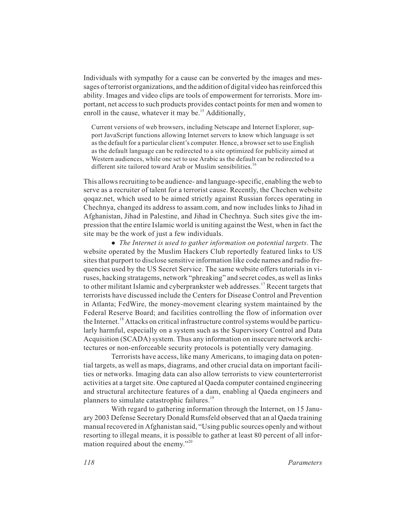Individuals with sympathy for a cause can be converted by the images and messages of terrorist organizations, and the addition of digital video has reinforced this ability. Images and video clips are tools of empowerment for terrorists. More important, net access to such products provides contact points for men and women to enroll in the cause, whatever it may be.<sup>15</sup> Additionally,

Current versions of web browsers, including Netscape and Internet Explorer, support JavaScript functions allowing Internet servers to know which language is set as the default for a particular client's computer. Hence, a browser set to use English as the default language can be redirected to a site optimized for publicity aimed at Western audiences, while one set to use Arabic as the default can be redirected to a different site tailored toward Arab or Muslim sensibilities.<sup>16</sup>

This allows recruiting to be audience- and language-specific, enabling the web to serve as a recruiter of talent for a terrorist cause. Recently, the Chechen website qoqaz.net, which used to be aimed strictly against Russian forces operating in Chechnya, changed its address to assam.com, and now includes links to Jihad in Afghanistan, Jihad in Palestine, and Jihad in Chechnya. Such sites give the impression that the entire Islamic world is uniting against the West, when in fact the site may be the work of just a few individuals.

 *The Internet is used to gather information on potential targets*. The website operated by the Muslim Hackers Club reportedly featured links to US sites that purport to disclose sensitive information like code names and radio frequencies used by the US Secret Service. The same website offers tutorials in viruses, hacking stratagems, network "phreaking" and secret codes, as well as links to other militant Islamic and cyberprankster web addresses.<sup>17</sup> Recent targets that terrorists have discussed include the Centers for Disease Control and Prevention in Atlanta; FedWire, the money-movement clearing system maintained by the Federal Reserve Board; and facilities controlling the flow of information over the Internet.18 Attacks on critical infrastructure control systems would be particularly harmful, especially on a system such as the Supervisory Control and Data Acquisition (SCADA) system. Thus any information on insecure network architectures or non-enforceable security protocols is potentially very damaging.

Terrorists have access, like many Americans, to imaging data on potential targets, as well as maps, diagrams, and other crucial data on important facilities or networks. Imaging data can also allow terrorists to view counterterrorist activities at a target site. One captured al Qaeda computer contained engineering and structural architecture features of a dam, enabling al Qaeda engineers and planners to simulate catastrophic failures.<sup>19</sup>

With regard to gathering information through the Internet, on 15 January 2003 Defense Secretary Donald Rumsfeld observed that an al Qaeda training manual recovered in Afghanistan said, "Using public sources openly and without resorting to illegal means, it is possible to gather at least 80 percent of all information required about the enemy."<sup>20</sup>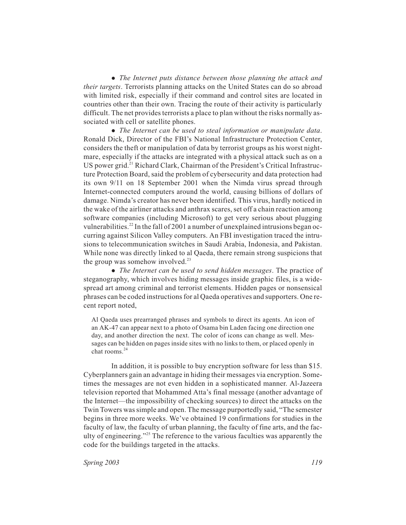*The Internet puts distance between those planning the attack and their targets*. Terrorists planning attacks on the United States can do so abroad with limited risk, especially if their command and control sites are located in countries other than their own. Tracing the route of their activity is particularly difficult. The net provides terrorists a place to plan without the risks normally associated with cell or satellite phones.

 *The Internet can be used to steal information or manipulate data*. Ronald Dick, Director of the FBI's National Infrastructure Protection Center, considers the theft or manipulation of data by terrorist groups as his worst nightmare, especially if the attacks are integrated with a physical attack such as on a US power grid.<sup>21</sup> Richard Clark, Chairman of the President's Critical Infrastructure Protection Board, said the problem of cybersecurity and data protection had its own 9/11 on 18 September 2001 when the Nimda virus spread through Internet-connected computers around the world, causing billions of dollars of damage. Nimda's creator has never been identified. This virus, hardly noticed in the wake of the airliner attacks and anthrax scares, set off a chain reaction among software companies (including Microsoft) to get very serious about plugging vulnerabilities.<sup>22</sup> In the fall of 2001 a number of unexplained intrusions began occurring against Silicon Valley computers. An FBI investigation traced the intrusions to telecommunication switches in Saudi Arabia, Indonesia, and Pakistan. While none was directly linked to al Qaeda, there remain strong suspicions that the group was somehow involved. $^{23}$ 

 *The Internet can be used to send hidden messages*. The practice of steganography, which involves hiding messages inside graphic files, is a widespread art among criminal and terrorist elements. Hidden pages or nonsensical phrases can be coded instructions for al Qaeda operatives and supporters. One recent report noted,

Al Qaeda uses prearranged phrases and symbols to direct its agents. An icon of an AK-47 can appear next to a photo of Osama bin Laden facing one direction one day, and another direction the next. The color of icons can change as well. Messages can be hidden on pages inside sites with no links to them, or placed openly in chat rooms.<sup>24</sup>

In addition, it is possible to buy encryption software for less than \$15. Cyberplanners gain an advantage in hiding their messages via encryption. Sometimes the messages are not even hidden in a sophisticated manner. Al-Jazeera television reported that Mohammed Atta's final message (another advantage of the Internet—the impossibility of checking sources) to direct the attacks on the Twin Towers was simple and open. The message purportedly said, "The semester begins in three more weeks. We've obtained 19 confirmations for studies in the faculty of law, the faculty of urban planning, the faculty of fine arts, and the faculty of engineering."25 The reference to the various faculties was apparently the code for the buildings targeted in the attacks.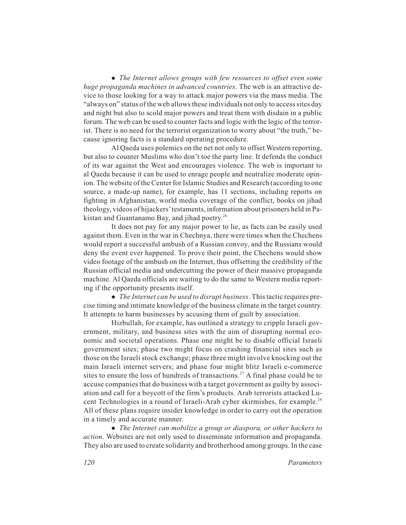*The Internet allows groups with few resources to offset even some huge propaganda machines in advanced countries*. The web is an attractive device to those looking for a way to attack major powers via the mass media. The "always on" status of the web allows these individuals not only to access sites day and night but also to scold major powers and treat them with disdain in a public forum. The web can be used to counter facts and logic with the logic of the terrorist. There is no need for the terrorist organization to worry about "the truth," because ignoring facts is a standard operating procedure.

Al Qaeda uses polemics on the net not only to offset Western reporting, but also to counter Muslims who don't toe the party line. It defends the conduct of its war against the West and encourages violence. The web is important to al Qaeda because it can be used to enrage people and neutralize moderate opinion. The website of the Center for Islamic Studies and Research (according to one source, a made-up name), for example, has 11 sections, including reports on fighting in Afghanistan, world media coverage of the conflict, books on jihad theology, videos of hijackers'testaments, information about prisoners held in Pakistan and Guantanamo Bay, and jihad poetry.<sup>26</sup>

It does not pay for any major power to lie, as facts can be easily used against them. Even in the war in Chechnya, there were times when the Chechens would report a successful ambush of a Russian convoy, and the Russians would deny the event ever happened. To prove their point, the Chechens would show video footage of the ambush on the Internet, thus offsetting the credibility of the Russian official media and undercutting the power of their massive propaganda machine. Al Qaeda officials are waiting to do the same to Western media reporting if the opportunity presents itself.

 *The Internet can be used to disrupt business*. This tactic requires precise timing and intimate knowledge of the business climate in the target country. It attempts to harm businesses by accusing them of guilt by association.

Hizbullah, for example, has outlined a strategy to cripple Israeli government, military, and business sites with the aim of disrupting normal economic and societal operations. Phase one might be to disable official Israeli government sites; phase two might focus on crashing financial sites such as those on the Israeli stock exchange; phase three might involve knocking out the main Israeli internet servers; and phase four might blitz Israeli e-commerce sites to ensure the loss of hundreds of transactions.<sup>27</sup> A final phase could be to accuse companies that do business with a target government as guilty by association and call for a boycott of the firm's products. Arab terrorists attacked Lucent Technologies in a round of Israeli-Arab cyber skirmishes, for example.<sup>28</sup> All of these plans require insider knowledge in order to carry out the operation in a timely and accurate manner.

 *The Internet can mobilize a group or diaspora, or other hackers to action*. Websites are not only used to disseminate information and propaganda. They also are used to create solidarity and brotherhood among groups. In the case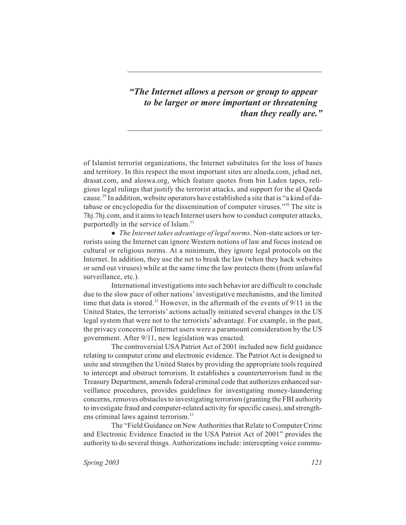*"The Internet allows a person or group to appear to be larger or more important or threatening than they really are."*

of Islamist terrorist organizations, the Internet substitutes for the loss of bases and territory. In this respect the most important sites are alneda.com, jehad.net, drasat.com, and aloswa.org, which feature quotes from bin Laden tapes, religious legal rulings that justify the terrorist attacks, and support for the al Qaeda cause.<sup>29</sup> In addition, website operators have established a site that is "a kind of database or encyclopedia for the dissemination of computer viruses."30 The site is 7hj.7hj.com, and it aims to teach Internet users how to conduct computer attacks, purportedly in the service of Islam.<sup>31</sup>

 *The Internet takes advantage of legal norms*. Non-state actors or terrorists using the Internet can ignore Western notions of law and focus instead on cultural or religious norms. At a minimum, they ignore legal protocols on the Internet. In addition, they use the net to break the law (when they hack websites or send out viruses) while at the same time the law protects them (from unlawful surveillance, etc.).

International investigations into such behavior are difficult to conclude due to the slow pace of other nations' investigative mechanisms, and the limited time that data is stored.<sup>32</sup> However, in the aftermath of the events of  $9/11$  in the United States, the terrorists' actions actually initiated several changes in the US legal system that were not to the terrorists' advantage. For example, in the past, the privacy concerns of Internet users were a paramount consideration by the US government. After 9/11, new legislation was enacted.

The controversial USA Patriot Act of 2001 included new field guidance relating to computer crime and electronic evidence. The Patriot Act is designed to unite and strengthen the United States by providing the appropriate tools required to intercept and obstruct terrorism. It establishes a counterterrorism fund in the Treasury Department, amends federal criminal code that authorizes enhanced surveillance procedures, provides guidelines for investigating money-laundering concerns, removes obstacles to investigating terrorism (granting the FBI authority to investigate fraud and computer-related activity for specific cases), and strengthens criminal laws against terrorism.<sup>33</sup>

The "Field Guidance on New Authorities that Relate to Computer Crime and Electronic Evidence Enacted in the USA Patriot Act of 2001" provides the authority to do several things. Authorizations include: intercepting voice commu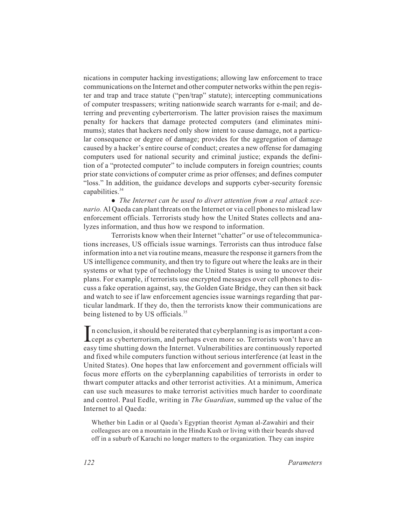nications in computer hacking investigations; allowing law enforcement to trace communications on the Internet and other computer networks within the pen register and trap and trace statute ("pen/trap" statute); intercepting communications of computer trespassers; writing nationwide search warrants for e-mail; and deterring and preventing cyberterrorism. The latter provision raises the maximum penalty for hackers that damage protected computers (and eliminates minimums); states that hackers need only show intent to cause damage, not a particular consequence or degree of damage; provides for the aggregation of damage caused by a hacker's entire course of conduct; creates a new offense for damaging computers used for national security and criminal justice; expands the definition of a "protected computer" to include computers in foreign countries; counts prior state convictions of computer crime as prior offenses; and defines computer "loss." In addition, the guidance develops and supports cyber-security forensic capabilities.<sup>34</sup>

 *The Internet can be used to divert attention from a real attack scenario.* Al Qaeda can plant threats on the Internet or via cell phones to mislead law enforcement officials. Terrorists study how the United States collects and analyzes information, and thus how we respond to information.

Terrorists know when their Internet "chatter" or use of telecommunications increases, US officials issue warnings. Terrorists can thus introduce false information into a net via routine means, measure the response it garners from the US intelligence community, and then try to figure out where the leaks are in their systems or what type of technology the United States is using to uncover their plans. For example, if terrorists use encrypted messages over cell phones to discuss a fake operation against, say, the Golden Gate Bridge, they can then sit back and watch to see if law enforcement agencies issue warnings regarding that particular landmark. If they do, then the terrorists know their communications are being listened to by US officials.<sup>35</sup>

I n conclusion, it should be reiterated that cyberplanning is as important a concept as cyberterrorism, and perhaps even more so. Terrorists won't have an easy time shutting down the Internet. Vulnerabilities are continuously reported and fixed while computers function without serious interference (at least in the United States). One hopes that law enforcement and government officials will focus more efforts on the cyberplanning capabilities of terrorists in order to thwart computer attacks and other terrorist activities. At a minimum, America can use such measures to make terrorist activities much harder to coordinate and control. Paul Eedle, writing in *The Guardian*, summed up the value of the Internet to al Qaeda:

Whether bin Ladin or al Qaeda's Egyptian theorist Ayman al-Zawahiri and their colleagues are on a mountain in the Hindu Kush or living with their beards shaved off in a suburb of Karachi no longer matters to the organization. They can inspire